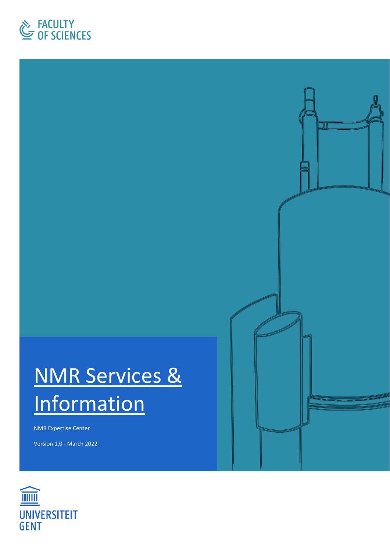

# NMR Services & **Information**

NMR Expertise Center

Version 1.0 - March 2022

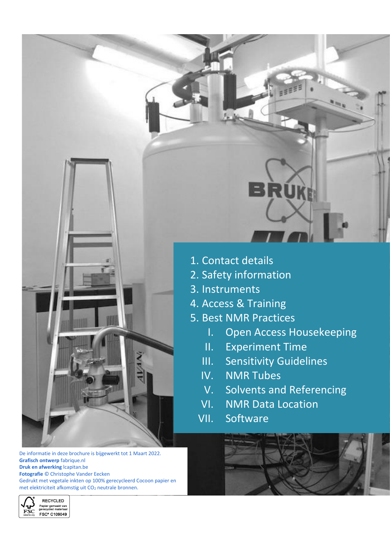

De informatie in deze brochure is bijgewerkt tot 1 Maart 2022. **Grafisch ontwerp** fabrique.nl **Druk en afwerking** lcapitan.be **Fotografie** © Christophe Vander Eecken Gedrukt met vegetale inkten op 100% gerecycleerd Cocoon papier en met elektriciteit afkomstig uit CO<sub>2</sub> neutrale bronnen.



- 2. Safety information
- 3. Instruments
- 4. Access & Training
- 5. Best NMR Practices
	- I. Open Access Housekeeping
	- II. Experiment Time
	- III. Sensitivity Guidelines
	- IV. NMR Tubes
	- V. Solvents and Referencing
	- VI. NMR Data Location
	- VII. Software



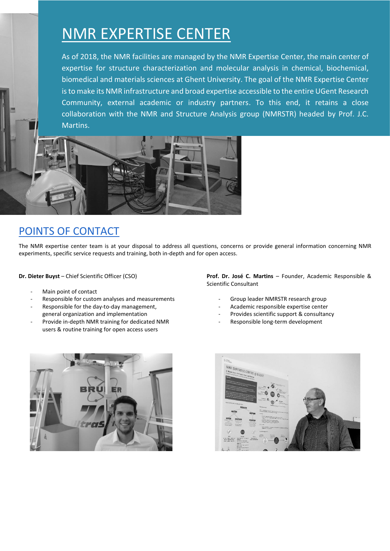## NMR EXPERTISE CENTER

As of 2018, the NMR facilities are managed by the NMR Expertise Center, the main center of expertise for structure characterization and molecular analysis in chemical, biochemical, biomedical and materials sciences at Ghent University. The goal of the NMR Expertise Center is to make its NMR infrastructure and broad expertise accessible to the entire UGent Research Community, external academic or industry partners. To this end, it retains a close collaboration with the NMR and Structure Analysis group (NMRSTR) headed by Prof. J.C. Martins.



## POINTS OF CONTACT

The NMR expertise center team is at your disposal to address all questions, concerns or provide general information concerning NMR experiments, specific service requests and training, both in-depth and for open access.

**Dr. Dieter Buyst** – Chief Scientific Officer (CSO)

- Main point of contact
- Responsible for custom analyses and measurements
- Responsible for the day-to-day management, general organization and implementation
- Provide in-depth NMR training for dedicated NMR users & routine training for open access users

**Prof. Dr. José C. Martins** – Founder, Academic Responsible & Scientific Consultant

- Group leader NMRSTR research group
- Academic responsible expertise center
- Provides scientific support & consultancy
- Responsible long-term development



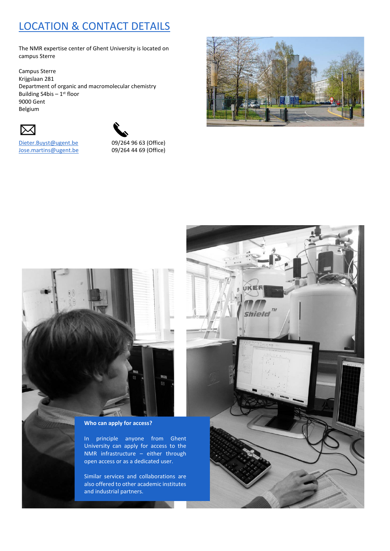## LOCATION & CONTACT DETAILS

The NMR expertise center of Ghent University is located on campus Sterre

Campus Sterre Krijgslaan 281 Department of organic and macromolecular chemistry Building S4bis  $-1$ <sup>st</sup> floor 9000 Gent Belgium





[Jose.martins@ugent.be](mailto:Jose.martins@ugent.be) 09/264 44 69 (Office)

[Dieter.Buyst@ugent.be](mailto:Dieter.Buyst@ugent.be) 09/264 96 63 (Office)





**Who can apply for access?**

In principle anyone from Ghent University can apply for access to the NMR infrastructure – either through open access or as a dedicated user.

Similar services and collaborations are also offered to other academic institutes and industrial partners.

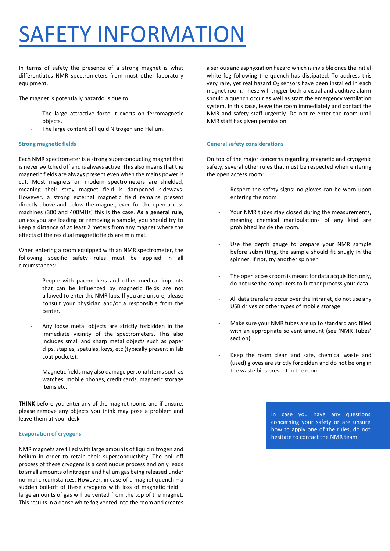# SAFETY INFORMATION

In terms of safety the presence of a strong magnet is what differentiates NMR spectrometers from most other laboratory equipment.

The magnet is potentially hazardous due to:

- The large attractive force it exerts on ferromagnetic objects.
- The large content of liquid Nitrogen and Helium.

#### **Strong magnetic fields**

Each NMR spectrometer is a strong superconducting magnet that is never switched off and is always active. This also meansthat the magnetic fields are always present even when the mains power is cut. Most magnets on modern spectrometers are shielded, meaning their stray magnet field is dampened sideways. However, a strong external magnetic field remains present directly above and below the magnet, even for the open access machines (300 and 400MHz) this is the case. **As a general rule**, unless you are loading or removing a sample, you should try to keep a distance of at least 2 meters from any magnet where the effects of the residual magnetic fields are minimal.

When entering a room equipped with an NMR spectrometer, the following specific safety rules must be applied in all circumstances:

- People with pacemakers and other medical implants that can be influenced by magnetic fields are not allowed to enter the NMR labs. If you are unsure, please consult your physician and/or a responsible from the center.
- Any loose metal objects are strictly forbidden in the immediate vicinity of the spectrometers. This also includes small and sharp metal objects such as paper clips, staples, spatulas, keys, etc (typically present in lab coat pockets).
- Magnetic fields may also damage personal items such as watches, mobile phones, credit cards, magnetic storage items etc.

**THINK** before you enter any of the magnet rooms and if unsure, please remove any objects you think may pose a problem and leave them at your desk.

#### **Evaporation of cryogens**

NMR magnets are filled with large amounts of liquid nitrogen and helium in order to retain their superconductivity. The boil off process of these cryogens is a continuous process and only leads to small amounts of nitrogen and helium gas being released under normal circumstances. However, in case of a magnet quench – a sudden boil-off of these cryogens with loss of magnetic field – large amounts of gas will be vented from the top of the magnet. This results in a dense white fog vented into the room and creates a serious and asphyxiation hazard which is invisible once the initial white fog following the quench has dissipated. To address this very rare, yet real hazard  $O_2$  sensors have been installed in each magnet room. These will trigger both a visual and auditive alarm should a quench occur as well as start the emergency ventilation system. In this case, leave the room immediately and contact the NMR and safety staff urgently. Do not re-enter the room until NMR staff has given permission.

#### **General safety considerations**

On top of the major concerns regarding magnetic and cryogenic safety, several other rules that must be respected when entering the open access room:

- Respect the safety signs: no gloves can be worn upon entering the room
- Your NMR tubes stay closed during the measurements, meaning chemical manipulations of any kind are prohibited inside the room.
- Use the depth gauge to prepare your NMR sample before submitting, the sample should fit snugly in the spinner. If not, try another spinner
- The open access room is meant for data acquisition only, do not use the computers to further process your data
- All data transfers occur over the intranet, do not use any USB drives or other types of mobile storage
- Make sure your NMR tubes are up to standard and filled with an appropriate solvent amount (see 'NMR Tubes' section)
- Keep the room clean and safe, chemical waste and (used) gloves are strictly forbidden and do not belong in the waste bins present in the room

In case you have any questions concerning your safety or are unsure how to apply one of the rules, do not hesitate to contact the NMR team.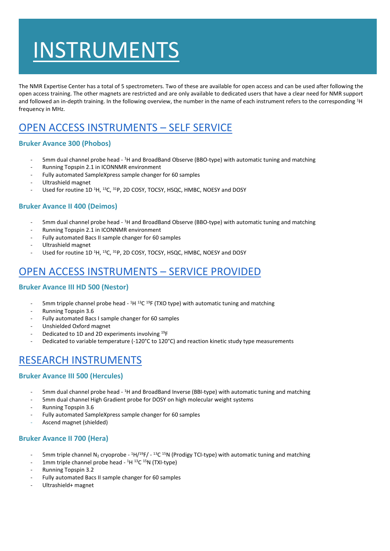# INSTRUMENTS

The NMR Expertise Center has a total of 5 spectrometers. Two of these are available for open access and can be used after following the open access training. The other magnets are restricted and are only available to dedicated users that have a clear need for NMR support and followed an in-depth training. In the following overview, the number in the name of each instrument refers to the corresponding <sup>1</sup>H frequency in MHz.

## OPEN ACCESS INSTRUMENTS – SELF SERVICE

### **Bruker Avance 300 (Phobos)**

- 5mm dual channel probe head <sup>1</sup>H and BroadBand Observe (BBO-type) with automatic tuning and matching
- Running Topspin 2.1 in ICONNMR environment
- Fully automated SampleXpress sample changer for 60 samples
- Ultrashield magnet
- Used for routine 1D <sup>1</sup>H, <sup>13</sup>C, <sup>31</sup>P, 2D COSY, TOCSY, HSQC, HMBC, NOESY and DOSY

### **Bruker Avance II 400 (Deimos)**

- 5mm dual channel probe head <sup>1</sup>H and BroadBand Observe (BBO-type) with automatic tuning and matching
- Running Topspin 2.1 in ICONNMR environment
- Fully automated Bacs II sample changer for 60 samples
- Ultrashield magnet
- Used for routine 1D <sup>1</sup>H, <sup>13</sup>C, <sup>31</sup>P, 2D COSY, TOCSY, HSQC, HMBC, NOESY and DOSY

## OPEN ACCESS INSTRUMENTS – SERVICE PROVIDED

### **Bruker Avance III HD 500 (Nestor)**

- Smm tripple channel probe head <sup>1</sup>H <sup>13</sup>C <sup>19</sup>F (TXO type) with automatic tuning and matching
- Running Topspin 3.6
- Fully automated Bacs I sample changer for 60 samples
- Unshielded Oxford magnet
- Dedicated to 1D and 2D experiments involving <sup>19</sup>F
- Dedicated to variable temperature (-120°C to 120°C) and reaction kinetic study type measurements

## RESEARCH INSTRUMENTS

### **Bruker Avance III 500 (Hercules)**

- Smm dual channel probe head <sup>1</sup>H and BroadBand Inverse (BBI-type) with automatic tuning and matching
- 5mm dual channel High Gradient probe for DOSY on high molecular weight systems
- Running Topspin 3.6
- Fully automated SampleXpress sample changer for 60 samples
- Ascend magnet (shielded)

### **Bruker Avance II 700 (Hera)**

- 5mm triple channel N<sub>2</sub> cryoprobe <sup>1</sup>H/<sup>19</sup>F/ <sup>13</sup>C <sup>15</sup>N (Prodigy TCI-type) with automatic tuning and matching
- 1mm triple channel probe head <sup>1</sup>H <sup>13</sup>C <sup>15</sup>N (TXI-type)
- Running Topspin 3.2
- Fully automated Bacs II sample changer for 60 samples
- Ultrashield+ magnet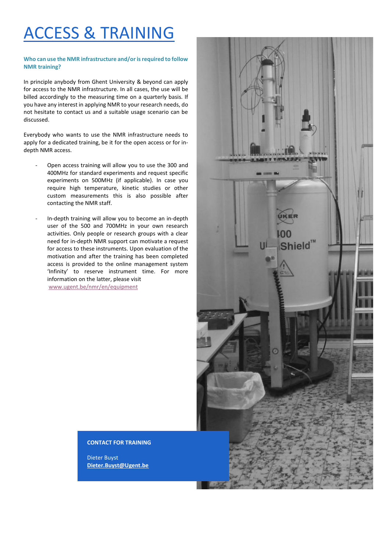# ACCESS & TRAINING

#### **Who can use the NMR infrastructure and/or is required to follow NMR training?**

In principle anybody from Ghent University & beyond can apply for access to the NMR infrastructure. In all cases, the use will be billed accordingly to the measuring time on a quarterly basis. If you have any interest in applying NMR to your research needs, do not hesitate to contact us and a suitable usage scenario can be discussed.

Everybody who wants to use the NMR infrastructure needs to apply for a dedicated training, be it for the open access or for indepth NMR access.

- Open access training will allow you to use the 300 and 400MHz for standard experiments and request specific experiments on 500MHz (if applicable). In case you require high temperature, kinetic studies or other custom measurements this is also possible after contacting the NMR staff.
- In-depth training will allow you to become an in-depth user of the 500 and 700MHz in your own research activities. Only people or research groups with a clear need for in-depth NMR support can motivate a request for access to these instruments. Upon evaluation of the motivation and after the training has been completed access is provided to the online management system 'Infinity' to reserve instrument time. For more information on the latter, please visit [www.ugent.be/nmr/en/equipment](http://www.ugent.be/nmr/en/equipment)

#### **CONTACT FOR TRAINING**

Dieter Buyst **Dieter.Buyst@Ugent.be**

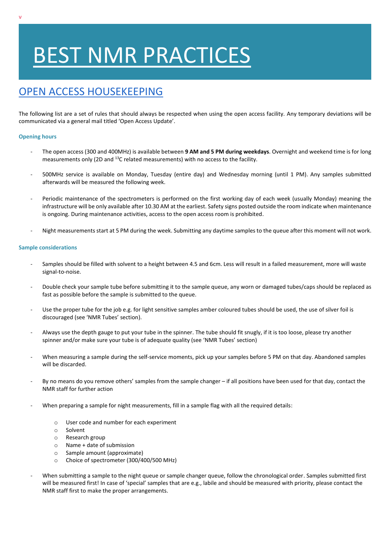# BEST NMR PRACTICES

## OPEN ACCESS HOUSEKEEPING

The following list are a set of rules that should always be respected when using the open access facility. Any temporary deviations will be communicated via a general mail titled 'Open Access Update'.

#### **Opening hours**

- The open access (300 and 400MHz) is available between **9 AM and 5 PM during weekdays**. Overnight and weekend time is for long measurements only (2D and <sup>13</sup>C related measurements) with no access to the facility.
- 500MHz service is available on Monday, Tuesday (entire day) and Wednesday morning (until 1 PM). Any samples submitted afterwards will be measured the following week.
- Periodic maintenance of the spectrometers is performed on the first working day of each week (usually Monday) meaning the infrastructure will be only available after 10.30 AM at the earliest. Safety signs posted outside the room indicate when maintenance is ongoing. During maintenance activities, access to the open access room is prohibited.
- Night measurements start at 5 PM during the week. Submitting any daytime samples to the queue after this moment will not work.

#### **Sample considerations**

- Samples should be filled with solvent to a height between 4.5 and 6cm. Less will result in a failed measurement, more will waste signal-to-noise.
- Double check your sample tube before submitting it to the sample queue, any worn or damaged tubes/caps should be replaced as fast as possible before the sample is submitted to the queue.
- Use the proper tube for the job e.g. for light sensitive samples amber coloured tubes should be used, the use of silver foil is discouraged (see 'NMR Tubes' section).
- Always use the depth gauge to put your tube in the spinner. The tube should fit snugly, if it is too loose, please try another spinner and/or make sure your tube is of adequate quality (see 'NMR Tubes' section)
- When measuring a sample during the self-service moments, pick up your samples before 5 PM on that day. Abandoned samples will be discarded.
- By no means do you remove others' samples from the sample changer if all positions have been used for that day, contact the NMR staff for further action
- When preparing a sample for night measurements, fill in a sample flag with all the required details:
	- o User code and number for each experiment
	- o Solvent
	- o Research group
	- o Name + date of submission
	- o Sample amount (approximate)
	- o Choice of spectrometer (300/400/500 MHz)
- When submitting a sample to the night queue or sample changer queue, follow the chronological order. Samples submitted first will be measured first! In case of 'special' samples that are e.g., labile and should be measured with priority, please contact the NMR staff first to make the proper arrangements.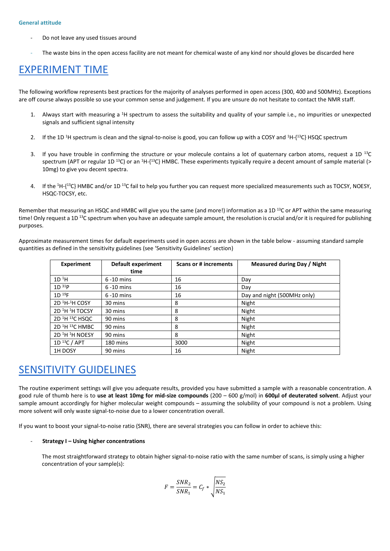- Do not leave any used tissues around
- The waste bins in the open access facility are not meant for chemical waste of any kind nor should gloves be discarded here

## EXPERIMENT TIME

The following workflow represents best practices for the majority of analyses performed in open access (300, 400 and 500MHz). Exceptions are off course always possible so use your common sense and judgement. If you are unsure do not hesitate to contact the NMR staff.

- 1. Always start with measuring a <sup>1</sup>H spectrum to assess the suitability and quality of your sample i.e., no impurities or unexpected signals and sufficient signal intensity
- 2. If the 1D <sup>1</sup>H spectrum is clean and the signal-to-noise is good, you can follow up with a COSY and <sup>1</sup>H-{<sup>13</sup>C} HSQC spectrum
- 3. If you have trouble in confirming the structure or your molecule contains a lot of quaternary carbon atoms, request a 1D  $^{13}$ C spectrum (APT or regular 1D <sup>13</sup>C) or an <sup>1</sup>H-{<sup>13</sup>C} HMBC. These experiments typically require a decent amount of sample material (> 10mg) to give you decent spectra.
- 4. If the <sup>1</sup>H-{<sup>13</sup>C} HMBC and/or 1D <sup>13</sup>C fail to help you further you can request more specialized measurements such as TOCSY, NOESY, HSQC-TOCSY, etc.

Remember that measuring an HSQC and HMBC will give you the same (and more!) information as a 1D<sup>13</sup>C or APT within the same measuring time! Only request a 1D<sup>13</sup>C spectrum when you have an adequate sample amount, the resolution is crucial and/or it is required for publishing purposes.

Approximate measurement times for default experiments used in open access are shown in the table below - assuming standard sample quantities as defined in the sensitivity guidelines (see 'Sensitivity Guidelines' section)

| <b>Experiment</b>                      | Default experiment | Scans or # increments | Measured during Day / Night |
|----------------------------------------|--------------------|-----------------------|-----------------------------|
|                                        | time               |                       |                             |
| 1D <sup>1</sup> H                      | $6 - 10$ mins      | 16                    | Day                         |
| $1D^{31}P$                             | $6 - 10$ mins      | 16                    | Day                         |
| $1D^{19}F$                             | $6 - 10$ mins      | 16                    | Day and night (500MHz only) |
| 2D <sup>1</sup> H <sup>-1</sup> HCOSY  | 30 mins            | 8                     | Night                       |
| 2D <sup>1</sup> H <sup>1</sup> H TOCSY | 30 mins            | 8                     | Night                       |
| 2D <sup>1</sup> H <sup>13</sup> CHSQC  | 90 mins            | 8                     | Night                       |
| 2D <sup>1</sup> H <sup>13</sup> C HMBC | 90 mins            | 8                     | Night                       |
| 2D <sup>1</sup> H <sup>1</sup> H NOESY | 90 mins            | 8                     | Night                       |
| $1D^{13}C/APT$                         | 180 mins           | 3000                  | Night                       |
| 1H DOSY                                | 90 mins            | 16                    | Night                       |

## SENSITIVITY GUIDELINES

The routine experiment settings will give you adequate results, provided you have submitted a sample with a reasonable concentration. A good rule of thumb here is to **use at least 10mg for mid-size compounds** (200 – 600 g/mol) in **600µl of deuterated solvent**. Adjust your sample amount accordingly for higher molecular weight compounds – assuming the solubility of your compound is not a problem. Using more solvent will only waste signal-to-noise due to a lower concentration overall.

If you want to boost your signal-to-noise ratio (SNR), there are several strategies you can follow in order to achieve this:

#### - **Strategy I – Using higher concentrations**

The most straightforward strategy to obtain higher signal-to-noise ratio with the same number of scans, is simply using a higher concentration of your sample(s):

$$
F = \frac{SNR_2}{SNR_1} = C_f * \sqrt{\frac{NS_2}{NS_1}}
$$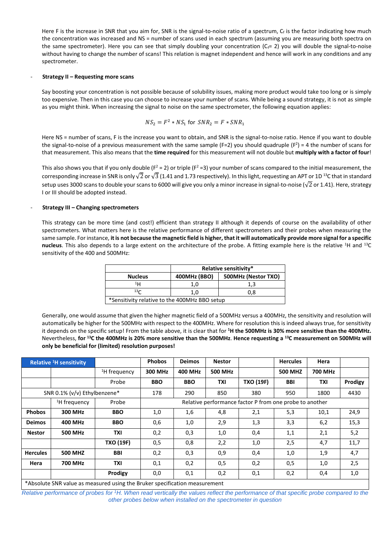Here F is the increase in SNR that you aim for, SNR is the signal-to-noise ratio of a spectrum,  $C_f$  is the factor indicating how much the concentration was increased and NS = number of scans used in each spectrum (assuming you are measuring both spectra on the same spectrometer). Here you can see that simply doubling your concentration ( $C_f= 2$ ) you will double the signal-to-noise without having to change the number of scans! This relation is magnet independent and hence will work in any conditions and any spectrometer.

#### - **Strategy II – Requesting more scans**

Say boosting your concentration is not possible because of solubility issues, making more product would take too long or is simply too expensive. Then in this case you can choose to increase your number of scans. While being a sound strategy, it is not as simple as you might think. When increasing the signal to noise on the same spectrometer, the following equation applies:

$$
NS_2 = F^2 * NS_1 \text{ for } SNR_2 = F * SNR_1
$$

Here NS = number of scans, F is the increase you want to obtain, and SNR is the signal-to-noise ratio. Hence if you want to double the signal-to-noise of a previous measurement with the same sample (F=2) you should quadruple (F<sup>2</sup>) = 4 the number of scans for that measurement. This also means that the **time required** for this measurement will not double but **multiply with a factor of four**!

This also shows you that if you only double ( $F^2 = 2$ ) or triple ( $F^2 = 3$ ) your number of scans compared to the initial measurement, the corresponding increase in SNR is only  $\sqrt{2}$  or  $\sqrt{3}$  (1.41 and 1.73 respectively). In this light, requesting an APT or 1D <sup>13</sup>C that in standard setup uses 3000 scans to double your scans to 6000 will give you only a minor increase in signal-to-noise ( $\sqrt{2}$  or 1.41). Here, strategy I or III should be adopted instead.

#### - **Strategy III – Changing spectrometers**

This strategy can be more time (and cost!) efficient than strategy II although it depends of course on the availability of other spectrometers. What matters here is the relative performance of different spectrometers and their probes when measuring the same sample. For instance, **it is not because the magnetic field is higher, thatit will automatically provide more signal for a specific nucleus**. This also depends to a large extent on the architecture of the probe. A fitting example here is the relative <sup>1</sup>H and <sup>13</sup>C sensitivity of the 400 and 500MHz:

|                                               | Relative sensitivity* |                     |  |  |  |
|-----------------------------------------------|-----------------------|---------------------|--|--|--|
| <b>Nucleus</b>                                | 400MHz (BBO)          | 500MHz (Nestor TXO) |  |  |  |
| 1н                                            | 1.0                   | 1,3                 |  |  |  |
| 13 <sub>C</sub><br>1.0                        |                       | 0.8                 |  |  |  |
| *Sensitivity relative to the 400MHz BBO setup |                       |                     |  |  |  |

Generally, one would assume that given the higher magnetic field of a 500MHz versus a 400MHz, the sensitivity and resolution will automatically be higher for the 500MHz with respect to the 400MHz. Where for resolution this is indeed always true, for sensitivity it depends on the specific setup! From the table above, it is clear that for **<sup>1</sup>H the 500MHz is 30% more sensitive than the 400MHz.**  Nevertheless, **for <sup>13</sup>C the 400MHz is 20% more sensitive than the 500MHz**. **Hence requesting a <sup>13</sup>C measurement on 500MHz will only be beneficial for (limited) resolution purposes!**

|                                                                            | <b>Relative <sup>1</sup>H</b> sensitivity |                          | <b>Phobos</b>                                           | <b>Deimos</b>  | <b>Nestor</b>  |                  | <b>Hercules</b> | Hera       |         |
|----------------------------------------------------------------------------|-------------------------------------------|--------------------------|---------------------------------------------------------|----------------|----------------|------------------|-----------------|------------|---------|
|                                                                            |                                           | <sup>1</sup> H frequency | 300 MHz                                                 | <b>400 MHz</b> | <b>500 MHz</b> |                  | <b>500 MHZ</b>  | 700 MHz    |         |
|                                                                            |                                           | Probe                    | <b>BBO</b>                                              | <b>BBO</b>     | TXI            | <b>TXO (19F)</b> | <b>BBI</b>      | <b>TXI</b> | Prodigy |
| SNR 0.1% (v/v) Ethylbenzene*                                               |                                           | 178                      | 290                                                     | 850            | 380            | 950              | 1800            | 4430       |         |
|                                                                            | <sup>1</sup> H frequency                  | Probe                    | Relative performance factor P from one probe to another |                |                |                  |                 |            |         |
| <b>Phobos</b>                                                              | 300 MHz                                   | <b>BBO</b>               | 1,0                                                     | 1,6            | 4,8            | 2,1              | 5,3             | 10,1       | 24,9    |
| <b>Deimos</b>                                                              | <b>400 MHz</b>                            | <b>BBO</b>               | 0,6                                                     | 1,0            | 2,9            | 1,3              | 3,3             | 6,2        | 15,3    |
| <b>Nestor</b>                                                              | <b>500 MHz</b>                            | <b>TXI</b>               | 0,2                                                     | 0,3            | 1,0            | 0,4              | 1,1             | 2,1        | 5,2     |
|                                                                            |                                           | <b>TXO (19F)</b>         | 0,5                                                     | 0,8            | 2,2            | 1,0              | 2,5             | 4,7        | 11,7    |
| <b>Hercules</b>                                                            | <b>500 MHZ</b>                            | <b>BBI</b>               | 0,2                                                     | 0,3            | 0,9            | 0,4              | 1,0             | 1,9        | 4,7     |
| Hera                                                                       | 700 MHz                                   | <b>TXI</b>               | 0,1                                                     | 0,2            | 0,5            | 0,2              | 0,5             | 1,0        | 2,5     |
|                                                                            |                                           | Prodigy                  | 0,0                                                     | 0,1            | 0,2            | 0,1              | 0,2             | 0,4        | 1,0     |
| *Absolute SNR value as measured using the Bruker specification measurement |                                           |                          |                                                         |                |                |                  |                 |            |         |

*Relative performance of probes for <sup>1</sup>H. When read vertically the values reflect the performance of that specific probe compared to the other probes below when installed on the spectrometer in question*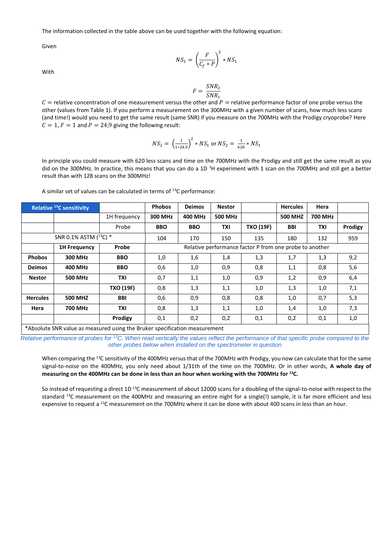The information collected in the table above can be used together with the following equation:

Given

$$
NS_2 = \left(\frac{F}{C_f * P}\right)^2 * NS_1
$$

With

$$
F = \frac{SNR_2}{SNR_1}
$$

 $C =$  relative concentration of one measurement versus the other and  $P =$  relative performance factor of one probe versus the other (values from Table 1). If you perform a measurement on the 300MHz with a given number of scans, how much less scans (and time!) would you need to get the same result (same SNR) if you measure on the 700MHz with the Prodigy cryoprobe? Here  $C = 1$ ,  $F = 1$  and  $P = 24.9$  giving the following result:

$$
NS_2 = \left(\frac{1}{1*24,9}\right)^2 * NS_1 \text{ or } NS_2 = \frac{1}{620} * NS_1
$$

In principle you could measure with 620 less scans and time on the 700MHz with the Prodigy and still get the same result as you did on the 300MHz. In practice, this means that you can do a 1D<sup>1</sup>H experiment with 1 scan on the 700MHz and still get a better result than with 128 scans on the 300MHz!

| <b>Relative <sup>13</sup>C sensitivity</b>                                 |                     |                  | <b>Phobos</b>                                           | <b>Deimos</b>  | <b>Nestor</b>  |                  | <b>Hercules</b> | Hera    |         |
|----------------------------------------------------------------------------|---------------------|------------------|---------------------------------------------------------|----------------|----------------|------------------|-----------------|---------|---------|
|                                                                            |                     | 1H frequency     | 300 MHz                                                 | <b>400 MHz</b> | <b>500 MHz</b> |                  | <b>500 MHZ</b>  | 700 MHz |         |
|                                                                            |                     | Probe            | <b>BBO</b>                                              | <b>BBO</b>     | <b>TXI</b>     | <b>TXO (19F)</b> | BBI             | TXI     | Prodigy |
| SNR 0.1% ASTM (13C) *                                                      |                     | 104              | 170                                                     | 150            | 135            | 180              | 132             | 959     |         |
|                                                                            | <b>1H Frequency</b> | Probe            | Relative performance factor P from one probe to another |                |                |                  |                 |         |         |
| <b>Phobos</b>                                                              | 300 MHz             | <b>BBO</b>       | 1,0                                                     | 1,6            | 1,4            | 1,3              | 1,7             | 1,3     | 9,2     |
| <b>Deimos</b>                                                              | <b>400 MHz</b>      | <b>BBO</b>       | 0,6                                                     | 1,0            | 0,9            | 0,8              | 1,1             | 0,8     | 5,6     |
| <b>Nestor</b>                                                              | <b>500 MHz</b>      | TXI              | 0,7                                                     | 1,1            | 1,0            | 0,9              | 1,2             | 0,9     | 6,4     |
|                                                                            |                     | <b>TXO (19F)</b> | 0,8                                                     | 1,3            | 1,1            | 1,0              | 1,3             | 1,0     | 7,1     |
| <b>Hercules</b>                                                            | <b>500 MHZ</b>      | <b>BBI</b>       | 0,6                                                     | 0,9            | 0,8            | 0,8              | 1,0             | 0,7     | 5,3     |
| Hera                                                                       | 700 MHz             | TXI              | 0,8                                                     | 1,3            | 1,1            | 1,0              | 1,4             | 1,0     | 7,3     |
|                                                                            |                     | Prodigy          | 0,1                                                     | 0,2            | 0,2            | 0,1              | 0,2             | 0,1     | 1,0     |
| *Absolute SNR value as measured using the Bruker specification measurement |                     |                  |                                                         |                |                |                  |                 |         |         |

A similar set of values can be calculated in terms of  $13C$  performance:

*Relative performance of probes for <sup>13</sup>C. When read vertically the values reflect the performance of that specific probe compared to the other probes below when installed on the spectrometer in question*

When comparing the <sup>13</sup>C sensitivity of the 400MHz versus that of the 700MHz with Prodigy, you now can calculate that for the same signal-to-noise on the 400MHz, you only need about 1/31th of the time on the 700MHz. Or in other words, **A whole day of measuring on the 400MHz can be done in less than an hour when working with the 700MHz for <sup>13</sup>C.**

So instead of requesting a direct 1D<sup>13</sup>C measurement of about 12000 scans for a doubling of the signal-to-noise with respect to the standard <sup>13</sup>C measurement on the 400MHz and measuring an entire night for a single(!) sample, it is far more efficient and less expensive to request a <sup>13</sup>C measurement on the 700MHz where it can be done with about 400 scans in less than an hour.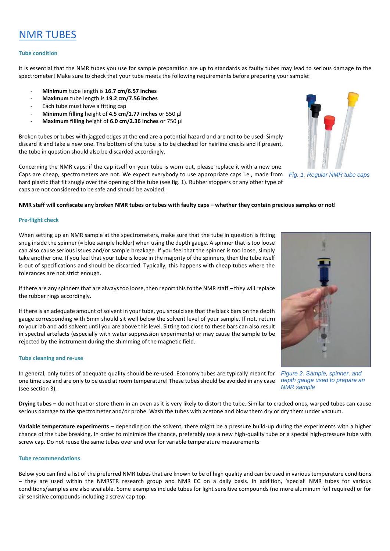## NMR TUBES

#### **Tube condition**

It is essential that the NMR tubes you use for sample preparation are up to standards as faulty tubes may lead to serious damage to the spectrometer! Make sure to check that your tube meets the following requirements before preparing your sample:

- **Minimum** tube length is **16.7 cm/6.57 inches**
- **Maximum** tube length is **19.2 cm/7.56 inches**
- Each tube must have a fitting cap
- **Minimum filling** height of **4.5 cm/1.77 inches** or 550 µl
- **Maximum filling** height of **6.0 cm/2.36 inches** or 750 µl

Broken tubes or tubes with jagged edges at the end are a potential hazard and are not to be used. Simply discard it and take a new one. The bottom of the tube is to be checked for hairline cracks and if present, the tube in question should also be discarded accordingly.

Concerning the NMR caps: if the cap itself on your tube is worn out, please replace it with a new one. Caps are cheap, spectrometers are not. We expect everybody to use appropriate caps i.e., made from hard plastic that fit snugly over the opening of the tube (see fig. 1). Rubber stoppers or any other type of caps are not considered to be safe and should be avoided.

#### **NMR staff will confiscate any broken NMR tubes or tubes with faulty caps – whether they contain precious samples or not!**

#### **Pre-flight check**

When setting up an NMR sample at the spectrometers, make sure that the tube in question is fitting snug inside the spinner (= blue sample holder) when using the depth gauge. A spinner that is too loose can also cause serious issues and/or sample breakage. If you feel that the spinner is too loose, simply take another one. If you feel that your tube is loose in the majority of the spinners, then the tube itself is out of specifications and should be discarded. Typically, this happens with cheap tubes where the tolerances are not strict enough.

If there are any spinners that are always too loose, then report this to the NMR staff – they will replace the rubber rings accordingly.

If there is an adequate amount of solvent in your tube, you should see that the black bars on the depth gauge corresponding with 5mm should sit well below the solvent level of your sample. If not, return to your lab and add solvent until you are above this level. Sitting too close to these bars can also result in spectral artefacts (especially with water suppression experiments) or may cause the sample to be rejected by the instrument during the shimming of the magnetic field.

#### **Tube cleaning and re-use**

In general, only tubes of adequate quality should be re-used. Economy tubes are typically meant for one time use and are only to be used at room temperature! These tubes should be avoided in any case (see section 3).

**Drying tubes –** do not heat or store them in an oven as it is very likely to distort the tube. Similar to cracked ones, warped tubes can cause serious damage to the spectrometer and/or probe. Wash the tubes with acetone and blow them dry or dry them under vacuum.

**Variable temperature experiments** – depending on the solvent, there might be a pressure build-up during the experiments with a higher chance of the tube breaking. In order to minimize the chance, preferably use a new high-quality tube or a special high-pressure tube with screw cap. Do not reuse the same tubes over and over for variable temperature measurements

#### **Tube recommendations**

Below you can find a list of the preferred NMR tubes that are known to be of high quality and can be used in various temperature conditions – they are used within the NMRSTR research group and NMR EC on a daily basis. In addition, 'special' NMR tubes for various conditions/samples are also available. Some examples include tubes for light sensitive compounds (no more aluminum foil required) or for air sensitive compounds including a screw cap top.



*NMR sample*

*Fig. 1. Regular NMR tube caps*

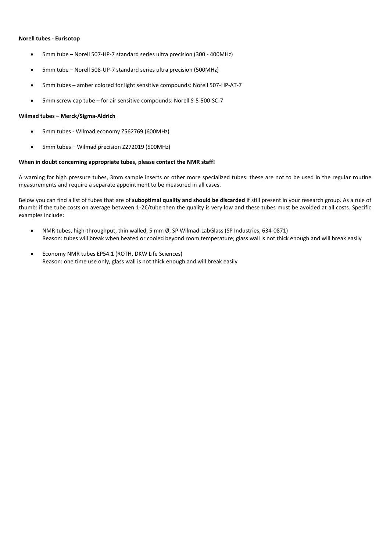#### **Norell tubes - Eurisotop**

- 5mm tube Norell 507-HP-7 standard series ultra precision (300 400MHz)
- 5mm tube Norell 508-UP-7 standard series ultra precision (500MHz)
- 5mm tubes amber colored for light sensitive compounds: Norell 507-HP-AT-7
- 5mm screw cap tube for air sensitive compounds: Norell S-5-500-SC-7

#### **Wilmad tubes – Merck/Sigma-Aldrich**

- 5mm tubes Wilmad economy Z562769 (600MHz)
- 5mm tubes Wilmad precision Z272019 (500MHz)

#### **When in doubt concerning appropriate tubes, please contact the NMR staff!**

A warning for high pressure tubes, 3mm sample inserts or other more specialized tubes: these are not to be used in the regular routine measurements and require a separate appointment to be measured in all cases.

Below you can find a list of tubes that are of **suboptimal quality and should be discarded** if still present in your research group. As a rule of thumb: if the tube costs on average between 1-2€/tube then the quality is very low and these tubes must be avoided at all costs. Specific examples include:

- NMR tubes, high-throughput, thin walled, 5 mm Ø, SP Wilmad-LabGlass (SP Industries, 634-0871) Reason: tubes will break when heated or cooled beyond room temperature; glass wall is not thick enough and will break easily
- Economy NMR tubes EP54.1 (ROTH, DKW Life Sciences) Reason: one time use only, glass wall is not thick enough and will break easily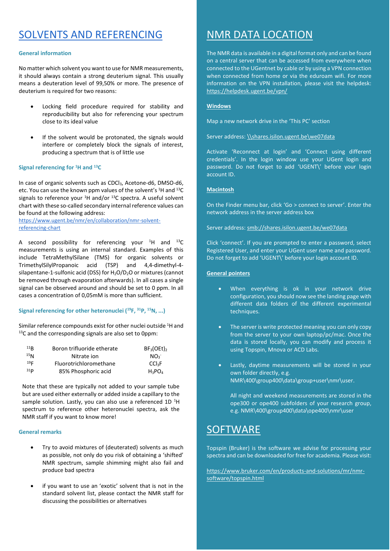## SOLVENTS AND REFERENCING

#### **General information**

No matter which solvent you want to use for NMR measurements, it should always contain a strong deuterium signal. This usually means a deuteration level of 99,50% or more. The presence of deuterium is required for two reasons:

- Locking field procedure required for stability and reproducibility but also for referencing your spectrum close to its ideal value
- If the solvent would be protonated, the signals would interfere or completely block the signals of interest, producing a spectrum that is of little use

#### **Signal referencing for <sup>1</sup>H and <sup>13</sup>C**

In case of organic solvents such as CDCl<sub>3</sub>, Acetone-d6, DMSO-d6, etc. You can use the known ppm values of the solvent's <sup>1</sup>H and <sup>13</sup>C signals to reference your  $1H$  and/or  $13C$  spectra. A useful solvent chart with these so-called secondary internal reference values can be found at the following address:

[https://www.ugent.be/nmr/en/collaboration/nmr-solvent](https://www.ugent.be/nmr/en/collaboration/nmr-solvent-referencing-chart)[referencing-chart](https://www.ugent.be/nmr/en/collaboration/nmr-solvent-referencing-chart)

A second possibility for referencing your  ${}^{1}$ H and  ${}^{13}$ C measurements is using an internal standard. Examples of this include TetraMethylSilane (TMS) for organic solvents or TrimethylSilylPropanoic acid (TSP) and 4,4-dimethyl-4 silapentane-1-sulfonic acid (DSS) for  $H_2O/D_2O$  or mixtures (cannot be removed through evaporation afterwards). In all cases a single signal can be observed around and should be set to 0 ppm. In all cases a concentration of 0,05mM is more than sufficient.

#### **Signal referencing for other heteronuclei (<sup>19</sup>F, <sup>31</sup>P, <sup>15</sup>N, ...)**

Similar reference compounds exist for other nuclei outside <sup>1</sup>H and <sup>13</sup>C and the corresponding signals are also set to 0ppm:

| 11R             | Boron trifluoride etherate | $BF_3(OEt)$        |
|-----------------|----------------------------|--------------------|
| 15 <sub>N</sub> | Nitrate ion                | NO <sub>3</sub>    |
| 19 <sub>F</sub> | Fluorotrichloromethane     | CCl <sub>3</sub> F |
| 31 <sub>p</sub> | 85% Phosphoric acid        | $H_3PO_4$          |

Note that these are typically not added to your sample tube but are used either externally or added inside a capillary to the sample solution. Lastly, you can also use a referenced 1D<sup>1</sup>H spectrum to reference other heteronuclei spectra, ask the NMR staff if you want to know more!

#### **General remarks**

- Try to avoid mixtures of (deuterated) solvents as much as possible, not only do you risk of obtaining a 'shifted' NMR spectrum, sample shimming might also fail and produce bad spectra
- if you want to use an 'exotic' solvent that is not in the standard solvent list, please contact the NMR staff for discussing the possibilities or alternatives

## NMR DATA LOCATION

The NMR data is available in a digital format only and can be found on a central server that can be accessed from everywhere when connected to the UGentnet by cable or by using a VPN connection when connected from home or via the eduroam wifi. For more information on the VPN installation, please visit the helpdesk: <https://helpdesk.ugent.be/vpn/>

#### **Windows**

Map a new network drive in the 'This PC' section

Server address[: \\shares.isilon.ugent.be\we07data](file://///shares.isilon.ugent.be/we07data)

Activate 'Reconnect at login' and 'Connect using different credentials'. In the login window use your UGent login and password. Do not forget to add 'UGENT\' before your login account ID.

#### **Macintosh**

On the Finder menu bar, click 'Go > connect to server'. Enter the network address in the server address box

Server address: smb://shares.isilon.ugent.be/we07data

Click 'connect'. If you are prompted to enter a password, select Registered User, and enter your UGent user name and password. Do not forget to add 'UGENT\' before your login account ID.

#### **General pointers**

- When everything is ok in your network drive configuration, you should now see the landing page with different data folders of the different experimental techniques.
- The server is write protected meaning you can only copy from the server to your own laptop/pc/mac. Once the data is stored locally, you can modify and process it using Topspin, Mnova or ACD Labs.
- Lastly, daytime measurements will be stored in your own folder directly, e.g. NMR\400\group400\data\group+user\nmr\user.

All night and weekend measurements are stored in the ope300 or ope400 subfolders of your research group, e.g. NMR\400\group400\data\ope400\nmr\user

## **SOFTWARE**

Topspin (Bruker) is the software we advise for processing your spectra and can be downloaded for free for academia. Please visit:

[https://www.bruker.com/en/products-and-solutions/mr/nmr](https://www.bruker.com/en/products-and-solutions/mr/nmr-software/topspin.html)[software/topspin.html](https://www.bruker.com/en/products-and-solutions/mr/nmr-software/topspin.html)